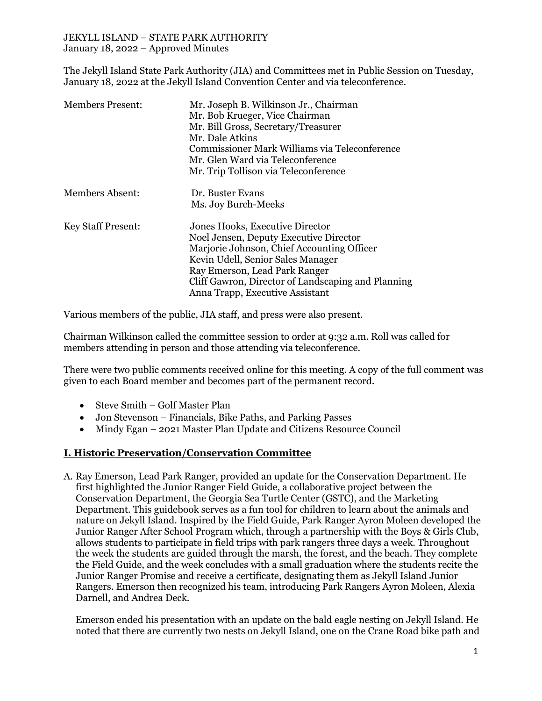The Jekyll Island State Park Authority (JIA) and Committees met in Public Session on Tuesday, January 18, 2022 at the Jekyll Island Convention Center and via teleconference.

| <b>Members Present:</b>   | Mr. Joseph B. Wilkinson Jr., Chairman<br>Mr. Bob Krueger, Vice Chairman<br>Mr. Bill Gross, Secretary/Treasurer<br>Mr. Dale Atkins<br>Commissioner Mark Williams via Teleconference<br>Mr. Glen Ward via Teleconference<br>Mr. Trip Tollison via Teleconference                         |
|---------------------------|----------------------------------------------------------------------------------------------------------------------------------------------------------------------------------------------------------------------------------------------------------------------------------------|
| Members Absent:           | Dr. Buster Evans<br>Ms. Joy Burch-Meeks                                                                                                                                                                                                                                                |
| <b>Key Staff Present:</b> | Jones Hooks, Executive Director<br>Noel Jensen, Deputy Executive Director<br>Marjorie Johnson, Chief Accounting Officer<br>Kevin Udell, Senior Sales Manager<br>Ray Emerson, Lead Park Ranger<br>Cliff Gawron, Director of Landscaping and Planning<br>Anna Trapp, Executive Assistant |

Various members of the public, JIA staff, and press were also present.

Chairman Wilkinson called the committee session to order at 9:32 a.m. Roll was called for members attending in person and those attending via teleconference.

There were two public comments received online for this meeting. A copy of the full comment was given to each Board member and becomes part of the permanent record.

- Steve Smith Golf Master Plan
- Jon Stevenson Financials, Bike Paths, and Parking Passes
- Mindy Egan 2021 Master Plan Update and Citizens Resource Council

### **I. Historic Preservation/Conservation Committee**

A. Ray Emerson, Lead Park Ranger, provided an update for the Conservation Department. He first highlighted the Junior Ranger Field Guide, a collaborative project between the Conservation Department, the Georgia Sea Turtle Center (GSTC), and the Marketing Department. This guidebook serves as a fun tool for children to learn about the animals and nature on Jekyll Island. Inspired by the Field Guide, Park Ranger Ayron Moleen developed the Junior Ranger After School Program which, through a partnership with the Boys & Girls Club, allows students to participate in field trips with park rangers three days a week. Throughout the week the students are guided through the marsh, the forest, and the beach. They complete the Field Guide, and the week concludes with a small graduation where the students recite the Junior Ranger Promise and receive a certificate, designating them as Jekyll Island Junior Rangers. Emerson then recognized his team, introducing Park Rangers Ayron Moleen, Alexia Darnell, and Andrea Deck.

Emerson ended his presentation with an update on the bald eagle nesting on Jekyll Island. He noted that there are currently two nests on Jekyll Island, one on the Crane Road bike path and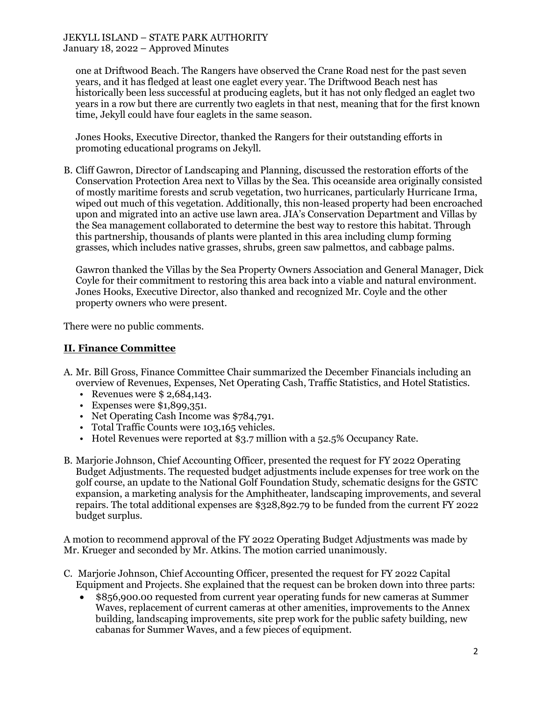one at Driftwood Beach. The Rangers have observed the Crane Road nest for the past seven years, and it has fledged at least one eaglet every year. The Driftwood Beach nest has historically been less successful at producing eaglets, but it has not only fledged an eaglet two years in a row but there are currently two eaglets in that nest, meaning that for the first known time, Jekyll could have four eaglets in the same season.

Jones Hooks, Executive Director, thanked the Rangers for their outstanding efforts in promoting educational programs on Jekyll.

B. Cliff Gawron, Director of Landscaping and Planning, discussed the restoration efforts of the Conservation Protection Area next to Villas by the Sea. This oceanside area originally consisted of mostly maritime forests and scrub vegetation, two hurricanes, particularly Hurricane Irma, wiped out much of this vegetation. Additionally, this non-leased property had been encroached upon and migrated into an active use lawn area. JIA's Conservation Department and Villas by the Sea management collaborated to determine the best way to restore this habitat. Through this partnership, thousands of plants were planted in this area including clump forming grasses, which includes native grasses, shrubs, green saw palmettos, and cabbage palms.

Gawron thanked the Villas by the Sea Property Owners Association and General Manager, Dick Coyle for their commitment to restoring this area back into a viable and natural environment. Jones Hooks, Executive Director, also thanked and recognized Mr. Coyle and the other property owners who were present.

There were no public comments.

### **II. Finance Committee**

- A. Mr. Bill Gross, Finance Committee Chair summarized the December Financials including an overview of Revenues, Expenses, Net Operating Cash, Traffic Statistics, and Hotel Statistics.
	- Revenues were  $$ 2,684,143$ .
	- Expenses were \$1,899,351.
	- Net Operating Cash Income was \$784,791.
	- Total Traffic Counts were 103,165 vehicles.
	- Hotel Revenues were reported at \$3.7 million with a 52.5% Occupancy Rate.
- B. Marjorie Johnson, Chief Accounting Officer, presented the request for FY 2022 Operating Budget Adjustments. The requested budget adjustments include expenses for tree work on the golf course, an update to the National Golf Foundation Study, schematic designs for the GSTC expansion, a marketing analysis for the Amphitheater, landscaping improvements, and several repairs. The total additional expenses are \$328,892.79 to be funded from the current FY 2022 budget surplus.

A motion to recommend approval of the FY 2022 Operating Budget Adjustments was made by Mr. Krueger and seconded by Mr. Atkins. The motion carried unanimously.

- C. Marjorie Johnson, Chief Accounting Officer, presented the request for FY 2022 Capital Equipment and Projects. She explained that the request can be broken down into three parts:
	- \$856,900.00 requested from current year operating funds for new cameras at Summer Waves, replacement of current cameras at other amenities, improvements to the Annex building, landscaping improvements, site prep work for the public safety building, new cabanas for Summer Waves, and a few pieces of equipment.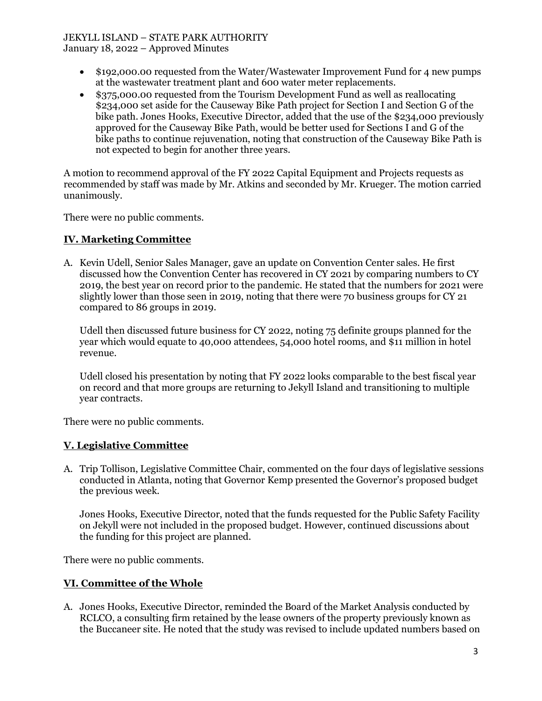- \$192,000.00 requested from the Water/Wastewater Improvement Fund for 4 new pumps at the wastewater treatment plant and 600 water meter replacements.
- \$375,000.00 requested from the Tourism Development Fund as well as reallocating \$234,000 set aside for the Causeway Bike Path project for Section I and Section G of the bike path. Jones Hooks, Executive Director, added that the use of the \$234,000 previously approved for the Causeway Bike Path, would be better used for Sections I and G of the bike paths to continue rejuvenation, noting that construction of the Causeway Bike Path is not expected to begin for another three years.

A motion to recommend approval of the FY 2022 Capital Equipment and Projects requests as recommended by staff was made by Mr. Atkins and seconded by Mr. Krueger. The motion carried unanimously.

There were no public comments.

### **IV. Marketing Committee**

A. Kevin Udell, Senior Sales Manager, gave an update on Convention Center sales. He first discussed how the Convention Center has recovered in CY 2021 by comparing numbers to CY 2019, the best year on record prior to the pandemic. He stated that the numbers for 2021 were slightly lower than those seen in 2019, noting that there were 70 business groups for CY 21 compared to 86 groups in 2019.

Udell then discussed future business for CY 2022, noting 75 definite groups planned for the year which would equate to 40,000 attendees, 54,000 hotel rooms, and \$11 million in hotel revenue.

Udell closed his presentation by noting that FY 2022 looks comparable to the best fiscal year on record and that more groups are returning to Jekyll Island and transitioning to multiple year contracts.

There were no public comments.

## **V. Legislative Committee**

A. Trip Tollison, Legislative Committee Chair, commented on the four days of legislative sessions conducted in Atlanta, noting that Governor Kemp presented the Governor's proposed budget the previous week.

Jones Hooks, Executive Director, noted that the funds requested for the Public Safety Facility on Jekyll were not included in the proposed budget. However, continued discussions about the funding for this project are planned.

There were no public comments.

### **VI. Committee of the Whole**

A. Jones Hooks, Executive Director, reminded the Board of the Market Analysis conducted by RCLCO, a consulting firm retained by the lease owners of the property previously known as the Buccaneer site. He noted that the study was revised to include updated numbers based on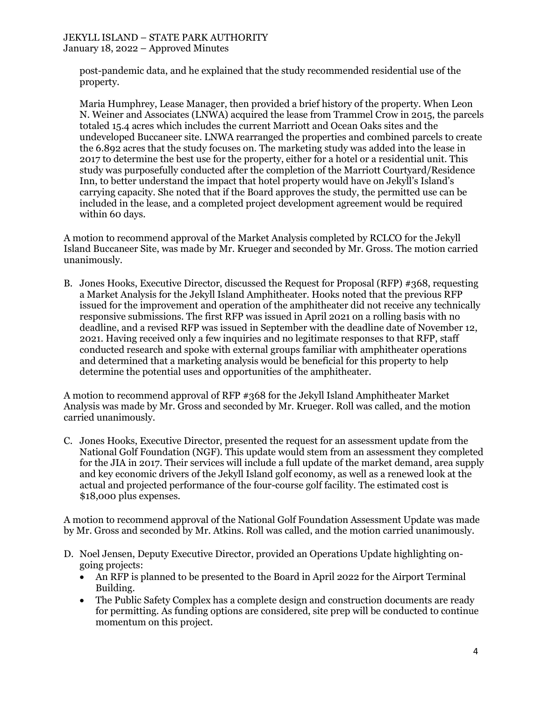post-pandemic data, and he explained that the study recommended residential use of the property.

Maria Humphrey, Lease Manager, then provided a brief history of the property. When Leon N. Weiner and Associates (LNWA) acquired the lease from Trammel Crow in 2015, the parcels totaled 15.4 acres which includes the current Marriott and Ocean Oaks sites and the undeveloped Buccaneer site. LNWA rearranged the properties and combined parcels to create the 6.892 acres that the study focuses on. The marketing study was added into the lease in 2017 to determine the best use for the property, either for a hotel or a residential unit. This study was purposefully conducted after the completion of the Marriott Courtyard/Residence Inn, to better understand the impact that hotel property would have on Jekyll's Island's carrying capacity. She noted that if the Board approves the study, the permitted use can be included in the lease, and a completed project development agreement would be required within 60 days.

A motion to recommend approval of the Market Analysis completed by RCLCO for the Jekyll Island Buccaneer Site, was made by Mr. Krueger and seconded by Mr. Gross. The motion carried unanimously.

B. Jones Hooks, Executive Director, discussed the Request for Proposal (RFP) #368, requesting a Market Analysis for the Jekyll Island Amphitheater. Hooks noted that the previous RFP issued for the improvement and operation of the amphitheater did not receive any technically responsive submissions. The first RFP was issued in April 2021 on a rolling basis with no deadline, and a revised RFP was issued in September with the deadline date of November 12, 2021. Having received only a few inquiries and no legitimate responses to that RFP, staff conducted research and spoke with external groups familiar with amphitheater operations and determined that a marketing analysis would be beneficial for this property to help determine the potential uses and opportunities of the amphitheater.

A motion to recommend approval of RFP #368 for the Jekyll Island Amphitheater Market Analysis was made by Mr. Gross and seconded by Mr. Krueger. Roll was called, and the motion carried unanimously.

C. Jones Hooks, Executive Director, presented the request for an assessment update from the National Golf Foundation (NGF). This update would stem from an assessment they completed for the JIA in 2017. Their services will include a full update of the market demand, area supply and key economic drivers of the Jekyll Island golf economy, as well as a renewed look at the actual and projected performance of the four-course golf facility. The estimated cost is \$18,000 plus expenses.

A motion to recommend approval of the National Golf Foundation Assessment Update was made by Mr. Gross and seconded by Mr. Atkins. Roll was called, and the motion carried unanimously.

- D. Noel Jensen, Deputy Executive Director, provided an Operations Update highlighting ongoing projects:
	- An RFP is planned to be presented to the Board in April 2022 for the Airport Terminal Building.
	- The Public Safety Complex has a complete design and construction documents are ready for permitting. As funding options are considered, site prep will be conducted to continue momentum on this project.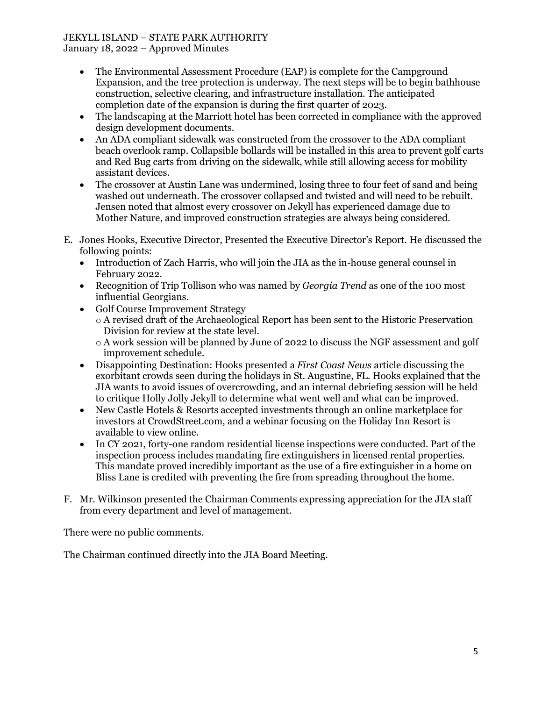# JEKYLL ISLAND – STATE PARK AUTHORITY

January 18, 2022 – Approved Minutes

- The Environmental Assessment Procedure (EAP) is complete for the Campground Expansion, and the tree protection is underway. The next steps will be to begin bathhouse construction, selective clearing, and infrastructure installation. The anticipated completion date of the expansion is during the first quarter of 2023.
- The landscaping at the Marriott hotel has been corrected in compliance with the approved design development documents.
- An ADA compliant sidewalk was constructed from the crossover to the ADA compliant beach overlook ramp. Collapsible bollards will be installed in this area to prevent golf carts and Red Bug carts from driving on the sidewalk, while still allowing access for mobility assistant devices.
- The crossover at Austin Lane was undermined, losing three to four feet of sand and being washed out underneath. The crossover collapsed and twisted and will need to be rebuilt. Jensen noted that almost every crossover on Jekyll has experienced damage due to Mother Nature, and improved construction strategies are always being considered.
- E. Jones Hooks, Executive Director, Presented the Executive Director's Report. He discussed the following points:
	- Introduction of Zach Harris, who will join the JIA as the in-house general counsel in February 2022.
	- Recognition of Trip Tollison who was named by *Georgia Trend* as one of the 100 most influential Georgians.
	- Golf Course Improvement Strategy
		- o A revised draft of the Archaeological Report has been sent to the Historic Preservation Division for review at the state level.
		- o A work session will be planned by June of 2022 to discuss the NGF assessment and golf improvement schedule.
	- Disappointing Destination: Hooks presented a *First Coast News* article discussing the exorbitant crowds seen during the holidays in St. Augustine, FL. Hooks explained that the JIA wants to avoid issues of overcrowding, and an internal debriefing session will be held to critique Holly Jolly Jekyll to determine what went well and what can be improved.
	- New Castle Hotels & Resorts accepted investments through an online marketplace for investors at CrowdStreet.com, and a webinar focusing on the Holiday Inn Resort is available to view online.
	- In CY 2021, forty-one random residential license inspections were conducted. Part of the inspection process includes mandating fire extinguishers in licensed rental properties. This mandate proved incredibly important as the use of a fire extinguisher in a home on Bliss Lane is credited with preventing the fire from spreading throughout the home.
- F. Mr. Wilkinson presented the Chairman Comments expressing appreciation for the JIA staff from every department and level of management.

There were no public comments.

The Chairman continued directly into the JIA Board Meeting.